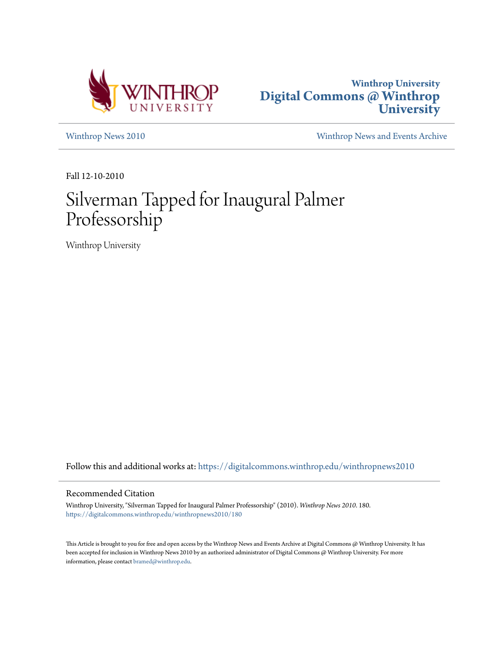



[Winthrop News 2010](https://digitalcommons.winthrop.edu/winthropnews2010?utm_source=digitalcommons.winthrop.edu%2Fwinthropnews2010%2F180&utm_medium=PDF&utm_campaign=PDFCoverPages) [Winthrop News and Events Archive](https://digitalcommons.winthrop.edu/winthropnewsarchives?utm_source=digitalcommons.winthrop.edu%2Fwinthropnews2010%2F180&utm_medium=PDF&utm_campaign=PDFCoverPages)

Fall 12-10-2010

# Silverman Tapped for Inaugural Palmer Professorship

Winthrop University

Follow this and additional works at: [https://digitalcommons.winthrop.edu/winthropnews2010](https://digitalcommons.winthrop.edu/winthropnews2010?utm_source=digitalcommons.winthrop.edu%2Fwinthropnews2010%2F180&utm_medium=PDF&utm_campaign=PDFCoverPages)

#### Recommended Citation

Winthrop University, "Silverman Tapped for Inaugural Palmer Professorship" (2010). *Winthrop News 2010*. 180. [https://digitalcommons.winthrop.edu/winthropnews2010/180](https://digitalcommons.winthrop.edu/winthropnews2010/180?utm_source=digitalcommons.winthrop.edu%2Fwinthropnews2010%2F180&utm_medium=PDF&utm_campaign=PDFCoverPages)

This Article is brought to you for free and open access by the Winthrop News and Events Archive at Digital Commons @ Winthrop University. It has been accepted for inclusion in Winthrop News 2010 by an authorized administrator of Digital Commons @ Winthrop University. For more information, please contact [bramed@winthrop.edu](mailto:bramed@winthrop.edu).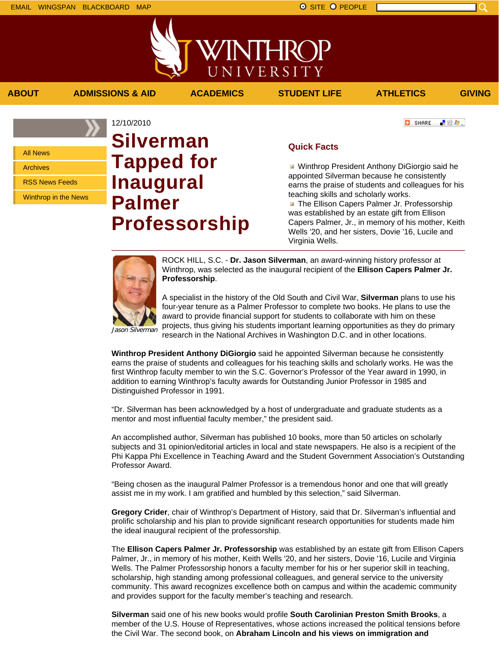上没有。

**C** SHARE

All News

Archives

RSS News Feeds

Winthrop in the News

## 12/10/2010 **Silverman Tapped for Inaugural Palmer Professorship**

### **Quick Facts**

**ABOUT ADMISSIONS & AID ACADEMICS STUDENT LIFE ATHLETICS GIVING**

VINTHROP

UNIVERSITY

**Winthrop President Anthony DiGiorgio said he** appointed Silverman because he consistently earns the praise of students and colleagues for his teaching skills and scholarly works. **The Ellison Capers Palmer Jr. Professorship** 

was established by an estate gift from Ellison Capers Palmer, Jr., in memory of his mother, Keith Wells '20, and her sisters, Dovie '16, Lucile and Virginia Wells.



ROCK HILL, S.C. - **Dr. Jason Silverman**, an award-winning history professor at Winthrop, was selected as the inaugural recipient of the **Ellison Capers Palmer Jr. Professorship**.

A specialist in the history of the Old South and Civil War, **Silverman** plans to use his four-year tenure as a Palmer Professor to complete two books. He plans to use the award to provide financial support for students to collaborate with him on these projects, thus giving his students important learning opportunities as they do primary research in the National Archives in Washington D.C. and in other locations.

**Winthrop President Anthony DiGiorgio** said he appointed Silverman because he consistently earns the praise of students and colleagues for his teaching skills and scholarly works. He was the first Winthrop faculty member to win the S.C. Governor's Professor of the Year award in 1990, in addition to earning Winthrop's faculty awards for Outstanding Junior Professor in 1985 and Distinguished Professor in 1991.

"Dr. Silverman has been acknowledged by a host of undergraduate and graduate students as a mentor and most influential faculty member," the president said.

An accomplished author, Silverman has published 10 books, more than 50 articles on scholarly subjects and 31 opinion/editorial articles in local and state newspapers. He also is a recipient of the Phi Kappa Phi Excellence in Teaching Award and the Student Government Association's Outstanding Professor Award.

"Being chosen as the inaugural Palmer Professor is a tremendous honor and one that will greatly assist me in my work. I am gratified and humbled by this selection," said Silverman.

**Gregory Crider**, chair of Winthrop's Department of History, said that Dr. Silverman's influential and prolific scholarship and his plan to provide significant research opportunities for students made him the ideal inaugural recipient of the professorship.

The **Ellison Capers Palmer Jr. Professorship** was established by an estate gift from Ellison Capers Palmer, Jr., in memory of his mother, Keith Wells '20, and her sisters, Dovie '16, Lucile and Virginia Wells. The Palmer Professorship honors a faculty member for his or her superior skill in teaching, scholarship, high standing among professional colleagues, and general service to the university community. This award recognizes excellence both on campus and within the academic community and provides support for the faculty member's teaching and research.

**Silverman** said one of his new books would profile **South Carolinian Preston Smith Brooks**, a member of the U.S. House of Representatives, whose actions increased the political tensions before the Civil War. The second book, on **Abraham Lincoln and his views on immigration and**